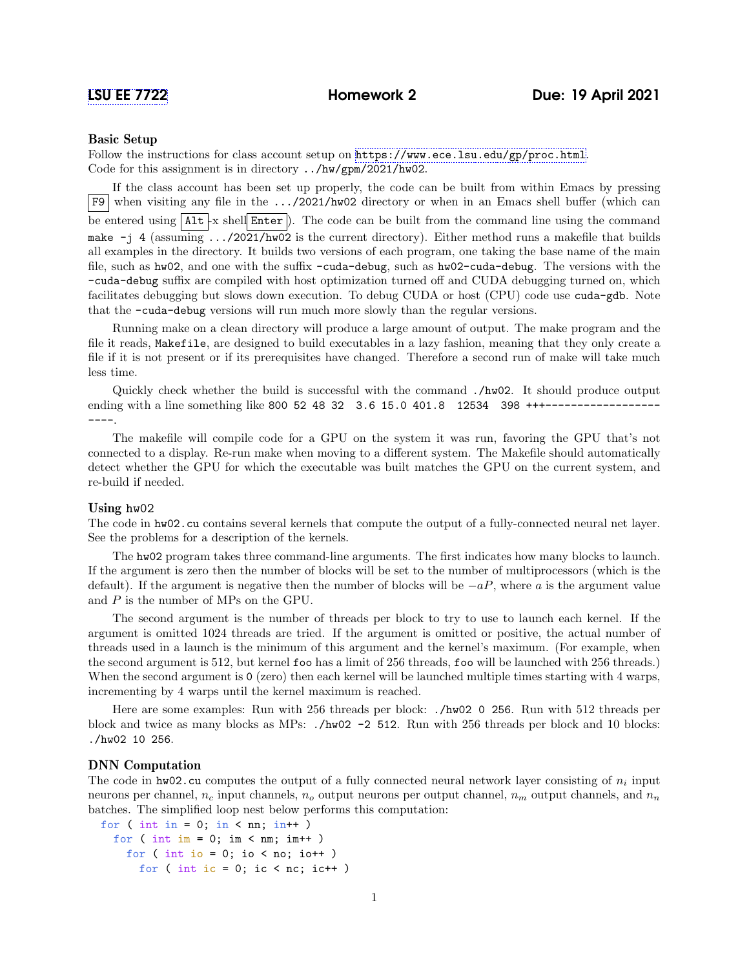# Basic Setup

Follow the instructions for class account setup on <https://www.ece.lsu.edu/gp/proc.html>. Code for this assignment is in directory ../hw/gpm/2021/hw02.

If the class account has been set up properly, the code can be built from within Emacs by pressing F9 when visiting any file in the .../2021/hw02 directory or when in an Emacs shell buffer (which can be entered using  $\Lambda$ 1t -x shell Enter ). The code can be built from the command line using the command make -j 4 (assuming .../2021/hw02 is the current directory). Either method runs a makefile that builds all examples in the directory. It builds two versions of each program, one taking the base name of the main file, such as hw02, and one with the suffix -cuda-debug, such as hw02-cuda-debug. The versions with the -cuda-debug suffix are compiled with host optimization turned off and CUDA debugging turned on, which facilitates debugging but slows down execution. To debug CUDA or host (CPU) code use cuda-gdb. Note that the -cuda-debug versions will run much more slowly than the regular versions.

Running make on a clean directory will produce a large amount of output. The make program and the file it reads, Makefile, are designed to build executables in a lazy fashion, meaning that they only create a file if it is not present or if its prerequisites have changed. Therefore a second run of make will take much less time.

Quickly check whether the build is successful with the command ./hw02. It should produce output ending with a line something like 800 52 48 32 3.6 15.0 401.8 12534 398 +++-----------------.

The makefile will compile code for a GPU on the system it was run, favoring the GPU that's not connected to a display. Re-run make when moving to a different system. The Makefile should automatically detect whether the GPU for which the executable was built matches the GPU on the current system, and re-build if needed.

#### Using hw02

The code in hw02.cu contains several kernels that compute the output of a fully-connected neural net layer. See the problems for a description of the kernels.

The hw02 program takes three command-line arguments. The first indicates how many blocks to launch. If the argument is zero then the number of blocks will be set to the number of multiprocessors (which is the default). If the argument is negative then the number of blocks will be  $-aP$ , where a is the argument value and  $P$  is the number of MPs on the GPU.

The second argument is the number of threads per block to try to use to launch each kernel. If the argument is omitted 1024 threads are tried. If the argument is omitted or positive, the actual number of threads used in a launch is the minimum of this argument and the kernel's maximum. (For example, when the second argument is 512, but kernel foo has a limit of 256 threads, foo will be launched with 256 threads.) When the second argument is 0 (zero) then each kernel will be launched multiple times starting with 4 warps, incrementing by 4 warps until the kernel maximum is reached.

Here are some examples: Run with 256 threads per block: ./hw02 0 256. Run with 512 threads per block and twice as many blocks as MPs:  $./hw02 -2 512$ . Run with 256 threads per block and 10 blocks: ./hw02 10 256.

# DNN Computation

The code in  $hw02$  cu computes the output of a fully connected neural network layer consisting of  $n_i$  input neurons per channel,  $n_c$  input channels,  $n_o$  output neurons per output channel,  $n_m$  output channels, and  $n_n$ batches. The simplified loop nest below performs this computation:

```
for ( int in = 0; in < nn; in++ )
 for ( int im = 0; im < nm; im++ )
    for ( int io = 0; io < no; io ++ )
      for ( int ic = 0; ic < nc; ic ++ )
```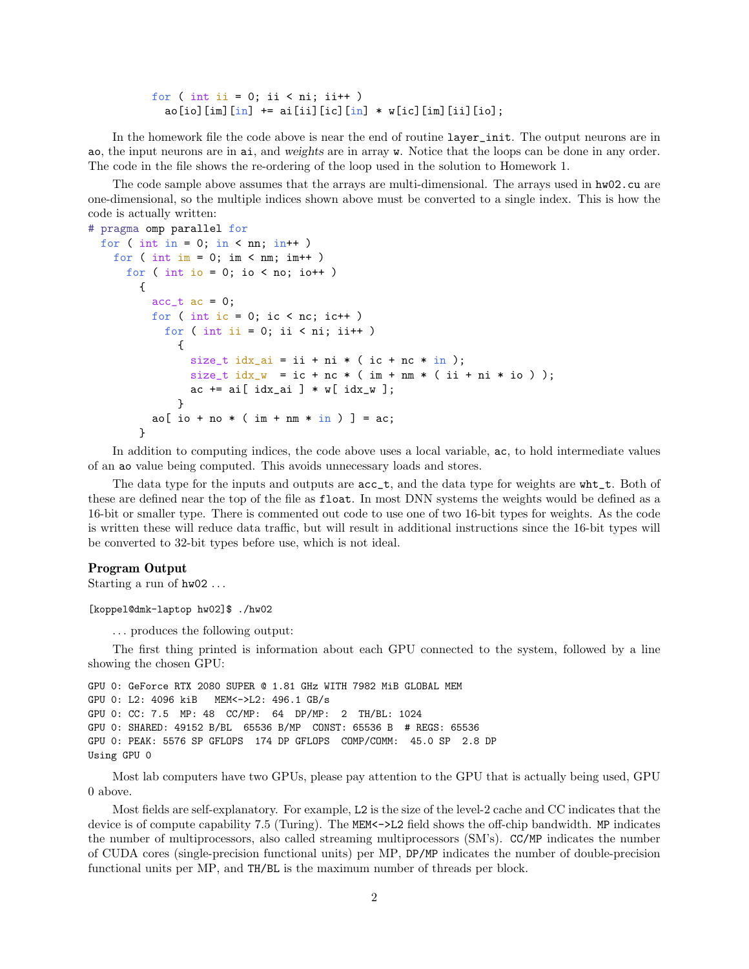for ( int ii = 0; ii < ni; ii++ ) ao[io][im][in]  $+=$  ai[ii][ic][in]  $*$  w[ic][im][ii][io];

In the homework file the code above is near the end of routine layer\_init. The output neurons are in ao, the input neurons are in ai, and weights are in array w. Notice that the loops can be done in any order. The code in the file shows the re-ordering of the loop used in the solution to Homework 1.

The code sample above assumes that the arrays are multi-dimensional. The arrays used in  $hw02$ .cu are one-dimensional, so the multiple indices shown above must be converted to a single index. This is how the code is actually written:

```
# pragma omp parallel for
  for ( int in = 0; in < nn; in++ )
   for ( int im = 0; im < nm; im++ )
      for ( int io = 0; io < no; io ++ )
        {
          acc_t ac = 0;
         for ( int ic = 0; ic < nc; ic ++ )
            for ( int ii = 0; ii < ni; ii++ )
             {
               size_t idx_ai = ii + ni * (ic + nc * in);
               size_t idx_w = ic + nc * (im + nm * (ii + ni * io));
                ac += ai[idx_ai] * w[idx_w];}
          ao[ io + no * ( im + nm * in ) ] = ac;
        }
```
In addition to computing indices, the code above uses a local variable, ac, to hold intermediate values of an ao value being computed. This avoids unnecessary loads and stores.

The data type for the inputs and outputs are  $acc_t$ , and the data type for weights are  $wht_t$ . Both of these are defined near the top of the file as float. In most DNN systems the weights would be defined as a 16-bit or smaller type. There is commented out code to use one of two 16-bit types for weights. As the code is written these will reduce data traffic, but will result in additional instructions since the 16-bit types will be converted to 32-bit types before use, which is not ideal.

# Program Output

Starting a run of hw02 . . .

[koppel@dmk-laptop hw02]\$ ./hw02

. . . produces the following output:

The first thing printed is information about each GPU connected to the system, followed by a line showing the chosen GPU:

```
GPU 0: GeForce RTX 2080 SUPER @ 1.81 GHz WITH 7982 MiB GLOBAL MEM
GPU 0: L2: 4096 kiB MEM<->L2: 496.1 GB/s
GPU 0: CC: 7.5 MP: 48 CC/MP: 64 DP/MP: 2 TH/BL: 1024
GPU 0: SHARED: 49152 B/BL 65536 B/MP CONST: 65536 B # REGS: 65536
GPU 0: PEAK: 5576 SP GFLOPS 174 DP GFLOPS COMP/COMM: 45.0 SP 2.8 DP
Using GPU 0
```
Most lab computers have two GPUs, please pay attention to the GPU that is actually being used, GPU 0 above.

Most fields are self-explanatory. For example, L2 is the size of the level-2 cache and CC indicates that the device is of compute capability 7.5 (Turing). The MEM<- $>$ L2 field shows the off-chip bandwidth. MP indicates the number of multiprocessors, also called streaming multiprocessors (SM's). CC/MP indicates the number of CUDA cores (single-precision functional units) per MP, DP/MP indicates the number of double-precision functional units per MP, and TH/BL is the maximum number of threads per block.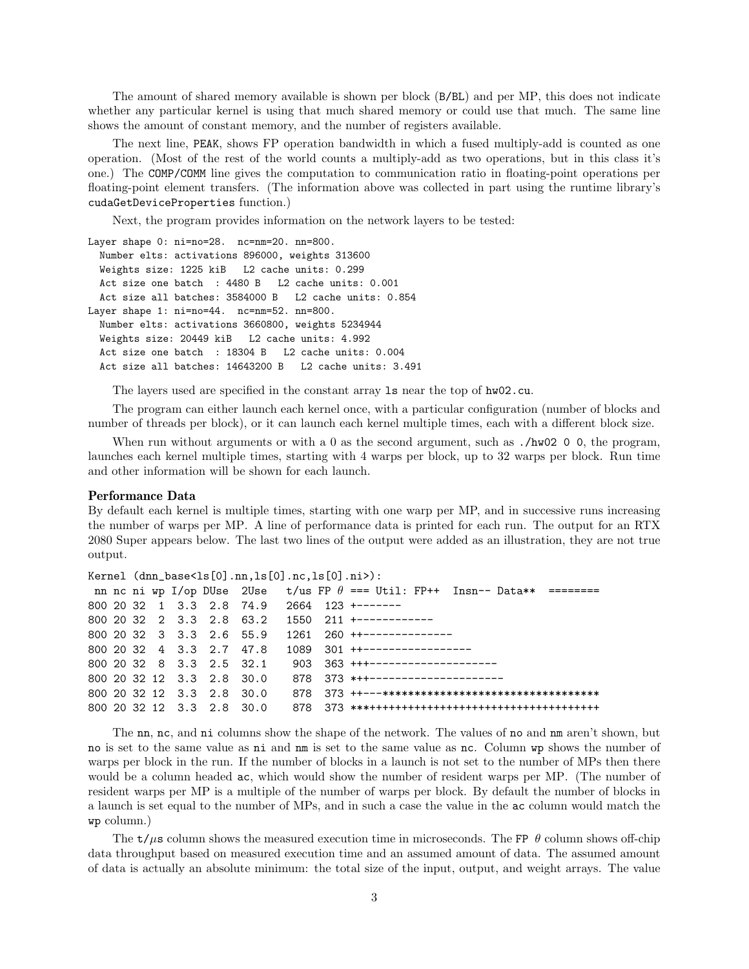The amount of shared memory available is shown per block (B/BL) and per MP, this does not indicate whether any particular kernel is using that much shared memory or could use that much. The same line shows the amount of constant memory, and the number of registers available.

The next line, PEAK, shows FP operation bandwidth in which a fused multiply-add is counted as one operation. (Most of the rest of the world counts a multiply-add as two operations, but in this class it's one.) The COMP/COMM line gives the computation to communication ratio in floating-point operations per floating-point element transfers. (The information above was collected in part using the runtime library's cudaGetDeviceProperties function.)

Next, the program provides information on the network layers to be tested:

```
Layer shape 0: ni=no=28. nc=nm=20. nn=800.
  Number elts: activations 896000, weights 313600
  Weights size: 1225 kiB L2 cache units: 0.299
  Act size one batch : 4480 B L2 cache units: 0.001
  Act size all batches: 3584000 B L2 cache units: 0.854
Layer shape 1: ni=no=44. nc=nm=52. nn=800.
  Number elts: activations 3660800, weights 5234944
  Weights size: 20449 kiB L2 cache units: 4.992
  Act size one batch : 18304 B L2 cache units: 0.004
  Act size all batches: 14643200 B L2 cache units: 3.491
```
The layers used are specified in the constant array ls near the top of hw02.cu.

The program can either launch each kernel once, with a particular configuration (number of blocks and number of threads per block), or it can launch each kernel multiple times, each with a different block size.

When run without arguments or with a 0 as the second argument, such as  $\Lambda$ w02 0 0, the program, launches each kernel multiple times, starting with 4 warps per block, up to 32 warps per block. Run time and other information will be shown for each launch.

### Performance Data

By default each kernel is multiple times, starting with one warp per MP, and in successive runs increasing the number of warps per MP. A line of performance data is printed for each run. The output for an RTX 2080 Super appears below. The last two lines of the output were added as an illustration, they are not true output.

```
Kernel (dnn_base<ls[0].nn,ls[0].nc,ls[0].ni>):
nn nc ni wp I/op DUse 2Use t/us FP \theta === Util: FP++ Insn-- Data** ========
800 20 32 1 3.3 2.8 74.9 2664 123 +-------
800 20 32 2 3.3 2.8 63.2 1550 211 +------------
800 20 32 3 3.3 2.6 55.9 1261 260 ++--------------
800 20 32 4 3.3 2.7 47.8 1089 301 ++-----------------
800 20 32 8 3.3 2.5 32.1 903 363 +++---------------------
800 20 32 12 3.3 2.8 30.0 878 373 *++----------------------
800 20 32 12 3.3 2.8 30.0 878 373 ++---**********************************
800 20 32 12 3.3 2.8 30.0 878 373 ***++++++++++++++++++++++++++++++++++++
```
The nn, nc, and ni columns show the shape of the network. The values of no and nm aren't shown, but no is set to the same value as ni and nm is set to the same value as nc. Column wp shows the number of warps per block in the run. If the number of blocks in a launch is not set to the number of MPs then there would be a column headed ac, which would show the number of resident warps per MP. (The number of resident warps per MP is a multiple of the number of warps per block. By default the number of blocks in a launch is set equal to the number of MPs, and in such a case the value in the ac column would match the wp column.)

The  $t/\mu s$  column shows the measured execution time in microseconds. The FP  $\theta$  column shows off-chip data throughput based on measured execution time and an assumed amount of data. The assumed amount of data is actually an absolute minimum: the total size of the input, output, and weight arrays. The value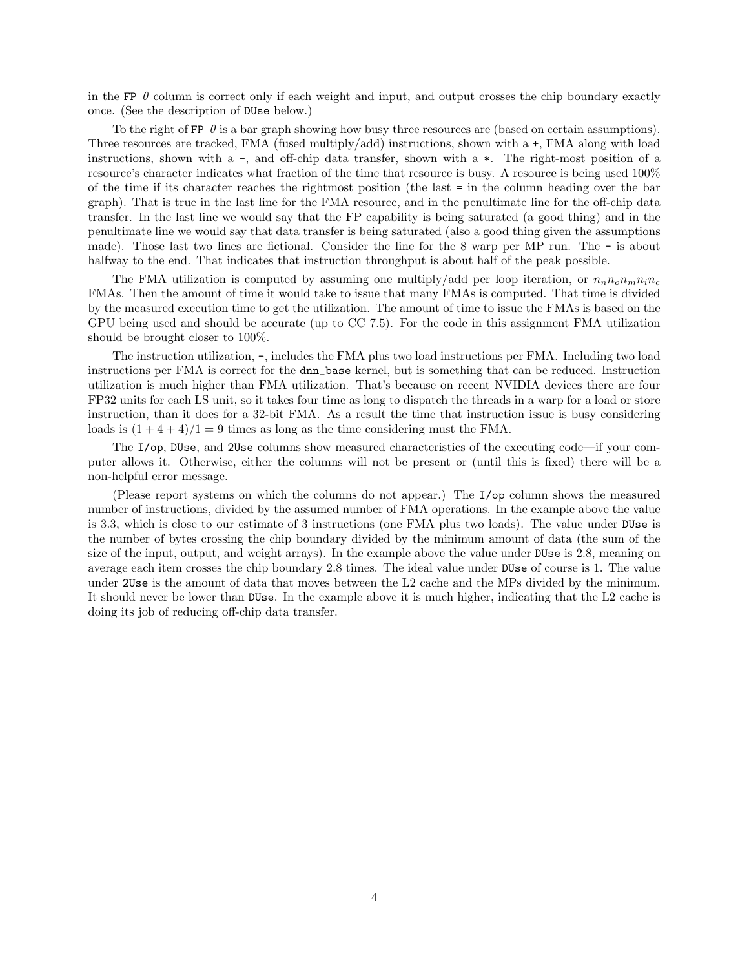in the FP  $\theta$  column is correct only if each weight and input, and output crosses the chip boundary exactly once. (See the description of DUse below.)

To the right of FP  $\theta$  is a bar graph showing how busy three resources are (based on certain assumptions). Three resources are tracked, FMA (fused multiply/add) instructions, shown with a +, FMA along with load instructions, shown with a -, and off-chip data transfer, shown with a \*. The right-most position of a resource's character indicates what fraction of the time that resource is busy. A resource is being used 100% of the time if its character reaches the rightmost position (the last = in the column heading over the bar graph). That is true in the last line for the FMA resource, and in the penultimate line for the off-chip data transfer. In the last line we would say that the FP capability is being saturated (a good thing) and in the penultimate line we would say that data transfer is being saturated (also a good thing given the assumptions made). Those last two lines are fictional. Consider the line for the 8 warp per MP run. The - is about halfway to the end. That indicates that instruction throughput is about half of the peak possible.

The FMA utilization is computed by assuming one multiply/add per loop iteration, or  $n_n n_0 n_m n_i n_c$ FMAs. Then the amount of time it would take to issue that many FMAs is computed. That time is divided by the measured execution time to get the utilization. The amount of time to issue the FMAs is based on the GPU being used and should be accurate (up to CC 7.5). For the code in this assignment FMA utilization should be brought closer to 100%.

The instruction utilization, -, includes the FMA plus two load instructions per FMA. Including two load instructions per FMA is correct for the dnn\_base kernel, but is something that can be reduced. Instruction utilization is much higher than FMA utilization. That's because on recent NVIDIA devices there are four FP32 units for each LS unit, so it takes four time as long to dispatch the threads in a warp for a load or store instruction, than it does for a 32-bit FMA. As a result the time that instruction issue is busy considering loads is  $(1 + 4 + 4)/1 = 9$  times as long as the time considering must the FMA.

The I/op, DUse, and 2Use columns show measured characteristics of the executing code—if your computer allows it. Otherwise, either the columns will not be present or (until this is fixed) there will be a non-helpful error message.

(Please report systems on which the columns do not appear.) The I/op column shows the measured number of instructions, divided by the assumed number of FMA operations. In the example above the value is 3.3, which is close to our estimate of 3 instructions (one FMA plus two loads). The value under DUse is the number of bytes crossing the chip boundary divided by the minimum amount of data (the sum of the size of the input, output, and weight arrays). In the example above the value under DUse is 2.8, meaning on average each item crosses the chip boundary 2.8 times. The ideal value under DUse of course is 1. The value under 2Use is the amount of data that moves between the L2 cache and the MPs divided by the minimum. It should never be lower than DUse. In the example above it is much higher, indicating that the L2 cache is doing its job of reducing off-chip data transfer.